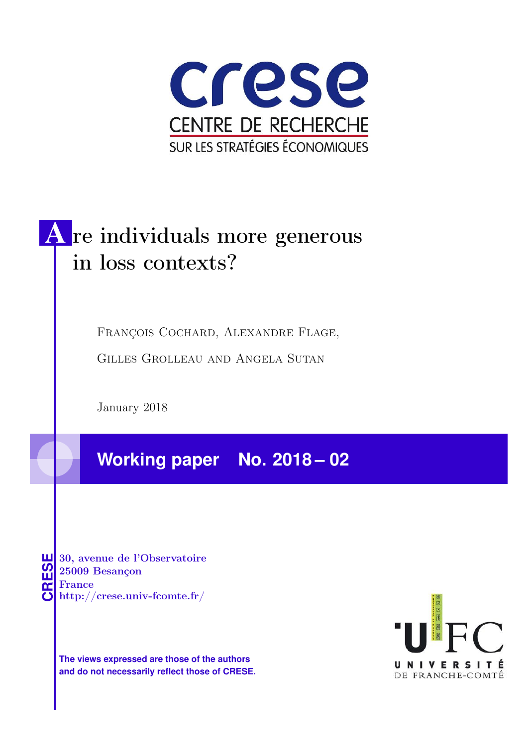

# A re individuals more generous in loss contexts?

François Cochard, Alexandre Flage,

Gilles Grolleau and Angela Sutan

January 2018

**Working paper No. 2018 – 02**

**CRESE 30, avenue de l'Observatoire<br>
25009 Besançon<br>
France<br>
<b>CRESE de l'Observatoire**<br>
Http://crese.univ-fcomte.fr/ 25009 Besançon France

**The views expressed are those of the authors and do not necessarily reflect those of CRESE.**

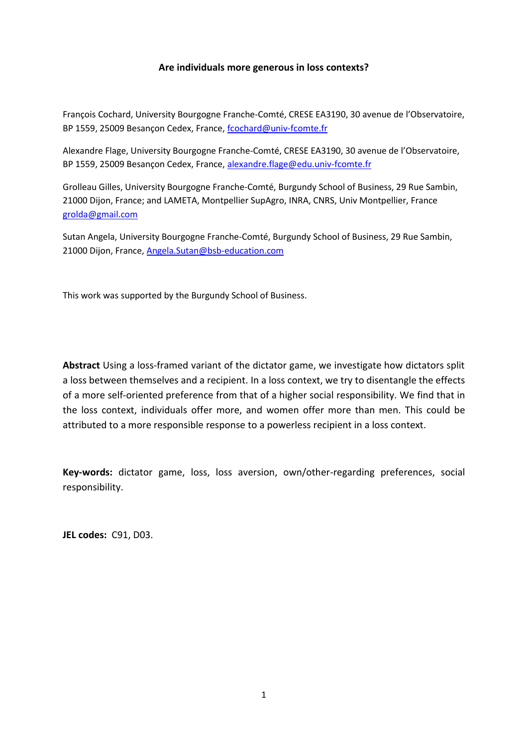#### **Are individuals more generous in loss contexts?**

François Cochard, University Bourgogne Franche-Comté, CRESE EA3190, 30 avenue de l'Observatoire, BP 1559, 25009 Besançon Cedex, France, fcochard@univ-fcomte.fr

Alexandre Flage, University Bourgogne Franche-Comté, CRESE EA3190, 30 avenue de l'Observatoire, BP 1559, 25009 Besançon Cedex, France, alexandre.flage@edu.univ-fcomte.fr

Grolleau Gilles, University Bourgogne Franche-Comté, Burgundy School of Business, 29 Rue Sambin, 21000 Dijon, France; and LAMETA, Montpellier SupAgro, INRA, CNRS, Univ Montpellier, France grolda@gmail.com

Sutan Angela, University Bourgogne Franche-Comté, Burgundy School of Business, 29 Rue Sambin, 21000 Dijon, France, Angela.Sutan@bsb-education.com

This work was supported by the Burgundy School of Business.

**Abstract** Using a loss-framed variant of the dictator game, we investigate how dictators split a loss between themselves and a recipient. In a loss context, we try to disentangle the effects of a more self-oriented preference from that of a higher social responsibility. We find that in the loss context, individuals offer more, and women offer more than men. This could be attributed to a more responsible response to a powerless recipient in a loss context.

**Key-words:** dictator game, loss, loss aversion, own/other-regarding preferences, social responsibility.

**JEL codes:** C91, D03.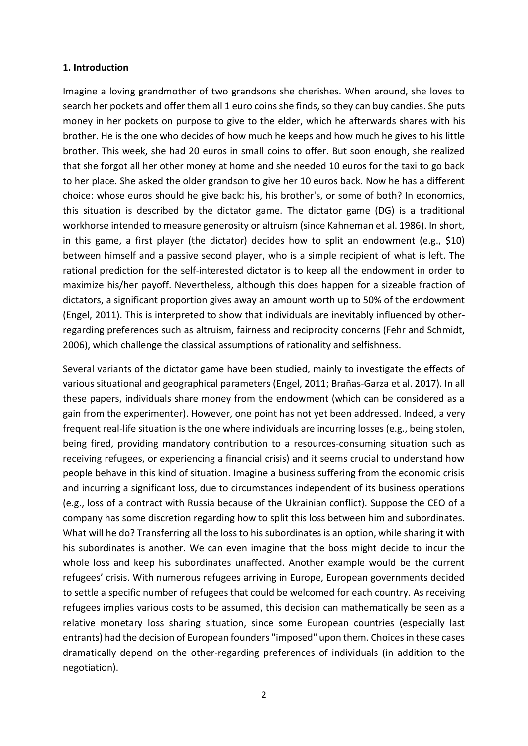#### **1. Introduction**

Imagine a loving grandmother of two grandsons she cherishes. When around, she loves to search her pockets and offer them all 1 euro coins she finds, so they can buy candies. She puts money in her pockets on purpose to give to the elder, which he afterwards shares with his brother. He is the one who decides of how much he keeps and how much he gives to his little brother. This week, she had 20 euros in small coins to offer. But soon enough, she realized that she forgot all her other money at home and she needed 10 euros for the taxi to go back to her place. She asked the older grandson to give her 10 euros back. Now he has a different choice: whose euros should he give back: his, his brother's, or some of both? In economics, this situation is described by the dictator game. The dictator game (DG) is a traditional workhorse intended to measure generosity or altruism (since Kahneman et al. 1986). In short, in this game, a first player (the dictator) decides how to split an endowment (e.g., \$10) between himself and a passive second player, who is a simple recipient of what is left. The rational prediction for the self-interested dictator is to keep all the endowment in order to maximize his/her payoff. Nevertheless, although this does happen for a sizeable fraction of dictators, a significant proportion gives away an amount worth up to 50% of the endowment (Engel, 2011). This is interpreted to show that individuals are inevitably influenced by otherregarding preferences such as altruism, fairness and reciprocity concerns (Fehr and Schmidt, 2006), which challenge the classical assumptions of rationality and selfishness.

Several variants of the dictator game have been studied, mainly to investigate the effects of various situational and geographical parameters (Engel, 2011; Brañas-Garza et al. 2017). In all these papers, individuals share money from the endowment (which can be considered as a gain from the experimenter). However, one point has not yet been addressed. Indeed, a very frequent real-life situation is the one where individuals are incurring losses (e.g., being stolen, being fired, providing mandatory contribution to a resources-consuming situation such as receiving refugees, or experiencing a financial crisis) and it seems crucial to understand how people behave in this kind of situation. Imagine a business suffering from the economic crisis and incurring a significant loss, due to circumstances independent of its business operations (e.g., loss of a contract with Russia because of the Ukrainian conflict). Suppose the CEO of a company has some discretion regarding how to split this loss between him and subordinates. What will he do? Transferring all the loss to his subordinates is an option, while sharing it with his subordinates is another. We can even imagine that the boss might decide to incur the whole loss and keep his subordinates unaffected. Another example would be the current refugees' crisis. With numerous refugees arriving in Europe, European governments decided to settle a specific number of refugees that could be welcomed for each country. As receiving refugees implies various costs to be assumed, this decision can mathematically be seen as a relative monetary loss sharing situation, since some European countries (especially last entrants) had the decision of European founders "imposed" upon them. Choices in these cases dramatically depend on the other-regarding preferences of individuals (in addition to the negotiation).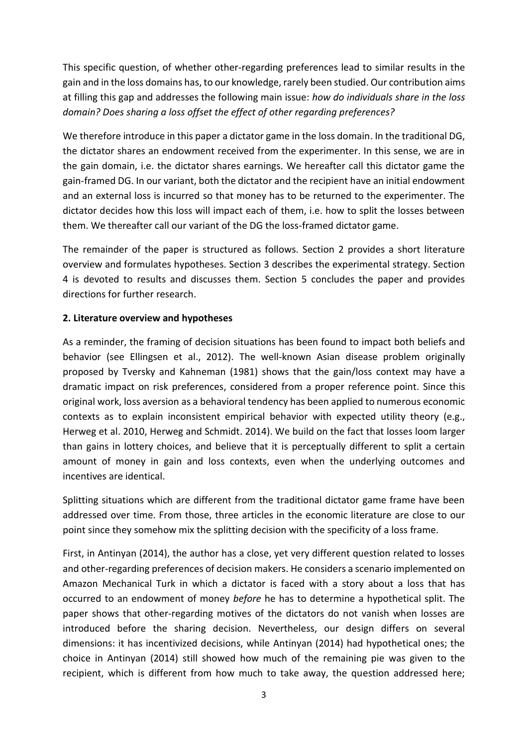This specific question, of whether other-regarding preferences lead to similar results in the gain and in the loss domains has, to our knowledge, rarely been studied. Our contribution aims at filling this gap and addresses the following main issue: *how do individuals share in the loss domain? Does sharing a loss offset the effect of other regarding preferences?*

We therefore introduce in this paper a dictator game in the loss domain. In the traditional DG, the dictator shares an endowment received from the experimenter. In this sense, we are in the gain domain, i.e. the dictator shares earnings. We hereafter call this dictator game the gain-framed DG. In our variant, both the dictator and the recipient have an initial endowment and an external loss is incurred so that money has to be returned to the experimenter. The dictator decides how this loss will impact each of them, i.e. how to split the losses between them. We thereafter call our variant of the DG the loss-framed dictator game.

The remainder of the paper is structured as follows. Section 2 provides a short literature overview and formulates hypotheses. Section 3 describes the experimental strategy. Section 4 is devoted to results and discusses them. Section 5 concludes the paper and provides directions for further research.

### **2. Literature overview and hypotheses**

As a reminder, the framing of decision situations has been found to impact both beliefs and behavior (see Ellingsen et al., 2012). The well-known Asian disease problem originally proposed by Tversky and Kahneman (1981) shows that the gain/loss context may have a dramatic impact on risk preferences, considered from a proper reference point. Since this original work, loss aversion as a behavioral tendency has been applied to numerous economic contexts as to explain inconsistent empirical behavior with expected utility theory (e.g., Herweg et al. 2010, Herweg and Schmidt. 2014). We build on the fact that losses loom larger than gains in lottery choices, and believe that it is perceptually different to split a certain amount of money in gain and loss contexts, even when the underlying outcomes and incentives are identical.

Splitting situations which are different from the traditional dictator game frame have been addressed over time. From those, three articles in the economic literature are close to our point since they somehow mix the splitting decision with the specificity of a loss frame.

First, in Antinyan (2014), the author has a close, yet very different question related to losses and other-regarding preferences of decision makers. He considers a scenario implemented on Amazon Mechanical Turk in which a dictator is faced with a story about a loss that has occurred to an endowment of money *before* he has to determine a hypothetical split. The paper shows that other-regarding motives of the dictators do not vanish when losses are introduced before the sharing decision. Nevertheless, our design differs on several dimensions: it has incentivized decisions, while Antinyan (2014) had hypothetical ones; the choice in Antinyan (2014) still showed how much of the remaining pie was given to the recipient, which is different from how much to take away, the question addressed here;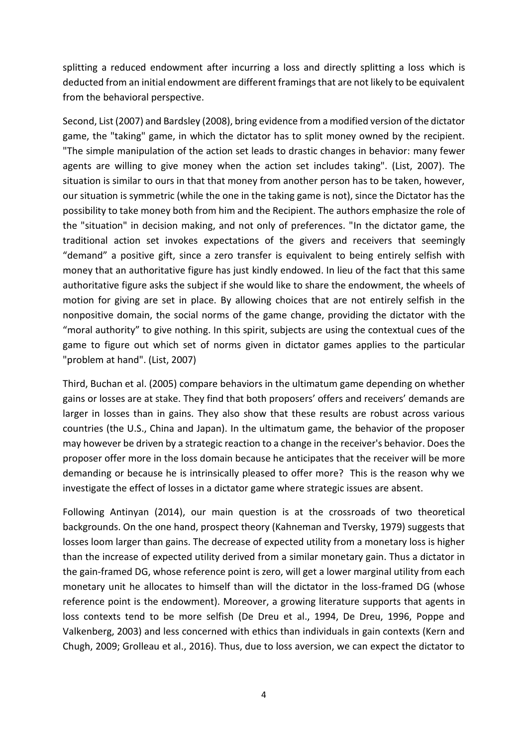splitting a reduced endowment after incurring a loss and directly splitting a loss which is deducted from an initial endowment are different framings that are not likely to be equivalent from the behavioral perspective.

Second, List (2007) and Bardsley (2008), bring evidence from a modified version of the dictator game, the "taking" game, in which the dictator has to split money owned by the recipient. "The simple manipulation of the action set leads to drastic changes in behavior: many fewer agents are willing to give money when the action set includes taking". (List, 2007). The situation is similar to ours in that that money from another person has to be taken, however, our situation is symmetric (while the one in the taking game is not), since the Dictator has the possibility to take money both from him and the Recipient. The authors emphasize the role of the "situation" in decision making, and not only of preferences. "In the dictator game, the traditional action set invokes expectations of the givers and receivers that seemingly "demand" a positive gift, since a zero transfer is equivalent to being entirely selfish with money that an authoritative figure has just kindly endowed. In lieu of the fact that this same authoritative figure asks the subject if she would like to share the endowment, the wheels of motion for giving are set in place. By allowing choices that are not entirely selfish in the nonpositive domain, the social norms of the game change, providing the dictator with the "moral authority" to give nothing. In this spirit, subjects are using the contextual cues of the game to figure out which set of norms given in dictator games applies to the particular "problem at hand". (List, 2007)

Third, Buchan et al. (2005) compare behaviors in the ultimatum game depending on whether gains or losses are at stake. They find that both proposers' offers and receivers' demands are larger in losses than in gains. They also show that these results are robust across various countries (the U.S., China and Japan). In the ultimatum game, the behavior of the proposer may however be driven by a strategic reaction to a change in the receiver's behavior. Does the proposer offer more in the loss domain because he anticipates that the receiver will be more demanding or because he is intrinsically pleased to offer more? This is the reason why we investigate the effect of losses in a dictator game where strategic issues are absent.

Following Antinyan (2014), our main question is at the crossroads of two theoretical backgrounds. On the one hand, prospect theory (Kahneman and Tversky, 1979) suggests that losses loom larger than gains. The decrease of expected utility from a monetary loss is higher than the increase of expected utility derived from a similar monetary gain. Thus a dictator in the gain-framed DG, whose reference point is zero, will get a lower marginal utility from each monetary unit he allocates to himself than will the dictator in the loss-framed DG (whose reference point is the endowment). Moreover, a growing literature supports that agents in loss contexts tend to be more selfish (De Dreu et al., 1994, De Dreu, 1996, Poppe and Valkenberg, 2003) and less concerned with ethics than individuals in gain contexts (Kern and Chugh, 2009; Grolleau et al., 2016). Thus, due to loss aversion, we can expect the dictator to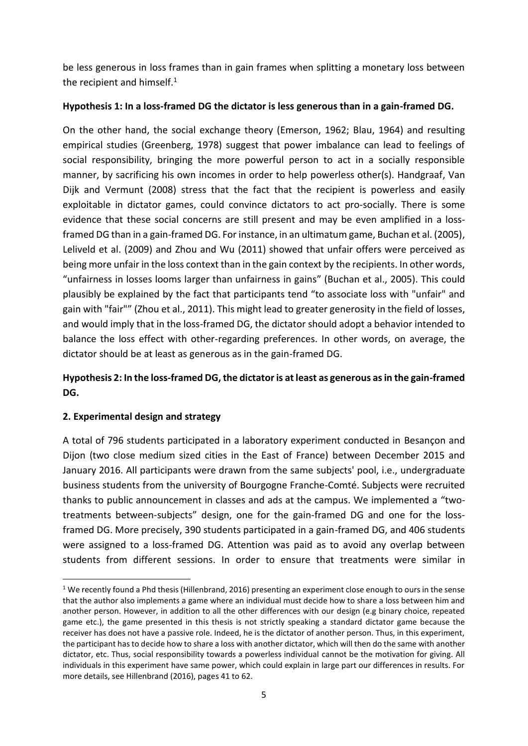be less generous in loss frames than in gain frames when splitting a monetary loss between the recipient and himself.<sup>1</sup>

## **Hypothesis 1: In a loss-framed DG the dictator is less generous than in a gain-framed DG.**

On the other hand, the social exchange theory (Emerson, 1962; Blau, 1964) and resulting empirical studies (Greenberg, 1978) suggest that power imbalance can lead to feelings of social responsibility, bringing the more powerful person to act in a socially responsible manner, by sacrificing his own incomes in order to help powerless other(s). Handgraaf, Van Dijk and Vermunt (2008) stress that the fact that the recipient is powerless and easily exploitable in dictator games, could convince dictators to act pro-socially. There is some evidence that these social concerns are still present and may be even amplified in a lossframed DG than in a gain-framed DG. For instance, in an ultimatum game, Buchan et al. (2005), Leliveld et al. (2009) and Zhou and Wu (2011) showed that unfair offers were perceived as being more unfair in the loss context than in the gain context by the recipients. In other words, "unfairness in losses looms larger than unfairness in gains" (Buchan et al., 2005). This could plausibly be explained by the fact that participants tend "to associate loss with "unfair" and gain with "fair"" (Zhou et al., 2011). This might lead to greater generosity in the field of losses, and would imply that in the loss-framed DG, the dictator should adopt a behavior intended to balance the loss effect with other-regarding preferences. In other words, on average, the dictator should be at least as generous as in the gain-framed DG.

# **Hypothesis 2: In the loss-framed DG, the dictator is at least as generous as in the gain-framed DG.**

# **2. Experimental design and strategy**

 $\overline{a}$ 

A total of 796 students participated in a laboratory experiment conducted in Besançon and Dijon (two close medium sized cities in the East of France) between December 2015 and January 2016. All participants were drawn from the same subjects' pool, i.e., undergraduate business students from the university of Bourgogne Franche-Comté. Subjects were recruited thanks to public announcement in classes and ads at the campus. We implemented a "twotreatments between-subjects" design, one for the gain-framed DG and one for the lossframed DG. More precisely, 390 students participated in a gain-framed DG, and 406 students were assigned to a loss-framed DG. Attention was paid as to avoid any overlap between students from different sessions. In order to ensure that treatments were similar in

<sup>&</sup>lt;sup>1</sup> We recently found a Phd thesis (Hillenbrand, 2016) presenting an experiment close enough to ours in the sense that the author also implements a game where an individual must decide how to share a loss between him and another person. However, in addition to all the other differences with our design (e.g binary choice, repeated game etc.), the game presented in this thesis is not strictly speaking a standard dictator game because the receiver has does not have a passive role. Indeed, he is the dictator of another person. Thus, in this experiment, the participant has to decide how to share a loss with another dictator, which will then do the same with another dictator, etc. Thus, social responsibility towards a powerless individual cannot be the motivation for giving. All individuals in this experiment have same power, which could explain in large part our differences in results. For more details, see Hillenbrand (2016), pages 41 to 62.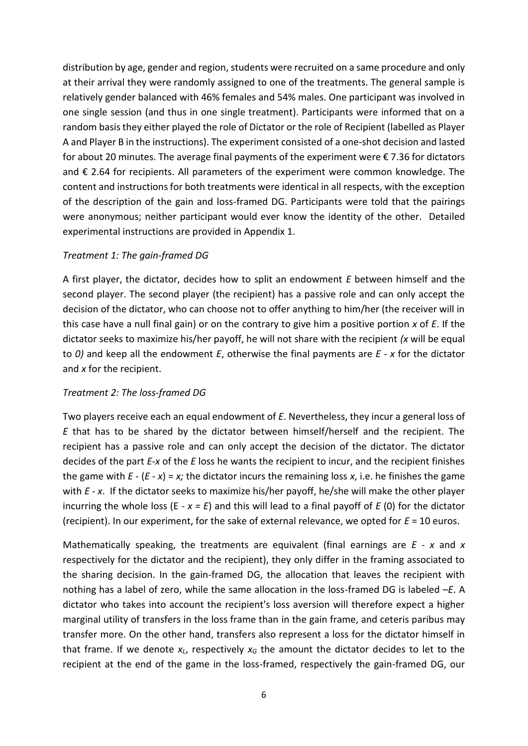distribution by age, gender and region, students were recruited on a same procedure and only at their arrival they were randomly assigned to one of the treatments. The general sample is relatively gender balanced with 46% females and 54% males. One participant was involved in one single session (and thus in one single treatment). Participants were informed that on a random basis they either played the role of Dictator or the role of Recipient (labelled as Player A and Player B in the instructions). The experiment consisted of a one-shot decision and lasted for about 20 minutes. The average final payments of the experiment were € 7.36 for dictators and € 2.64 for recipients. All parameters of the experiment were common knowledge. The content and instructions for both treatments were identical in all respects, with the exception of the description of the gain and loss-framed DG. Participants were told that the pairings were anonymous; neither participant would ever know the identity of the other. Detailed experimental instructions are provided in Appendix 1.

#### *Treatment 1: The gain-framed DG*

A first player, the dictator, decides how to split an endowment *E* between himself and the second player. The second player (the recipient) has a passive role and can only accept the decision of the dictator, who can choose not to offer anything to him/her (the receiver will in this case have a null final gain) or on the contrary to give him a positive portion *x* of *E*. If the dictator seeks to maximize his/her payoff, he will not share with the recipient *(x* will be equal to *0)* and keep all the endowment *E*, otherwise the final payments are *E - x* for the dictator and *x* for the recipient.

### *Treatment 2: The loss-framed DG*

Two players receive each an equal endowment of *E*. Nevertheless, they incur a general loss of *E* that has to be shared by the dictator between himself/herself and the recipient. The recipient has a passive role and can only accept the decision of the dictator. The dictator decides of the part *E*-*x* of the *E* loss he wants the recipient to incur, and the recipient finishes the game with  $E - (E - x) = x$ ; the dictator incurs the remaining loss x, i.e. he finishes the game with *E* - *x*. If the dictator seeks to maximize his/her payoff, he/she will make the other player incurring the whole loss ( $E - x = E$ ) and this will lead to a final payoff of  $E(0)$  for the dictator (recipient). In our experiment, for the sake of external relevance, we opted for *E* = 10 euros.

Mathematically speaking, the treatments are equivalent (final earnings are *E - x* and *x* respectively for the dictator and the recipient), they only differ in the framing associated to the sharing decision. In the gain-framed DG, the allocation that leaves the recipient with nothing has a label of zero, while the same allocation in the loss-framed DG is labeled *–E*. A dictator who takes into account the recipient's loss aversion will therefore expect a higher marginal utility of transfers in the loss frame than in the gain frame, and ceteris paribus may transfer more. On the other hand, transfers also represent a loss for the dictator himself in that frame. If we denote  $x_L$ , respectively  $x_G$  the amount the dictator decides to let to the recipient at the end of the game in the loss-framed, respectively the gain-framed DG, our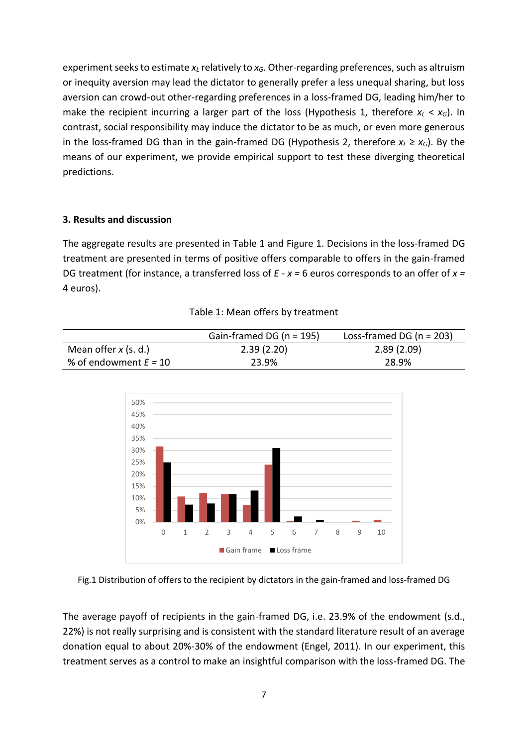experiment seeks to estimate *x<sup>L</sup>* relatively to *xG*. Other-regarding preferences, such as altruism or inequity aversion may lead the dictator to generally prefer a less unequal sharing, but loss aversion can crowd-out other-regarding preferences in a loss-framed DG, leading him/her to make the recipient incurring a larger part of the loss (Hypothesis 1, therefore  $x_L < x_G$ ). In contrast, social responsibility may induce the dictator to be as much, or even more generous in the loss-framed DG than in the gain-framed DG (Hypothesis 2, therefore  $x_L \ge x_G$ ). By the means of our experiment, we provide empirical support to test these diverging theoretical predictions.

#### **3. Results and discussion**

The aggregate results are presented in Table 1 and Figure 1. Decisions in the loss-framed DG treatment are presented in terms of positive offers comparable to offers in the gain-framed DG treatment (for instance, a transferred loss of *E - x =* 6 euros corresponds to an offer of *x =*  4 euros).

|                         | Gain-framed DG ( $n = 195$ ) | Loss-framed DG ( $n = 203$ ) |
|-------------------------|------------------------------|------------------------------|
| Mean offer $x$ (s. d.)  | 2.39(2.20)                   | 2.89(2.09)                   |
| % of endowment $E = 10$ | 23.9%                        | 28.9%                        |





Fig.1 Distribution of offers to the recipient by dictators in the gain-framed and loss-framed DG

The average payoff of recipients in the gain-framed DG, i.e. 23.9% of the endowment (s.d., 22%) is not really surprising and is consistent with the standard literature result of an average donation equal to about 20%-30% of the endowment (Engel, 2011). In our experiment, this treatment serves as a control to make an insightful comparison with the loss-framed DG. The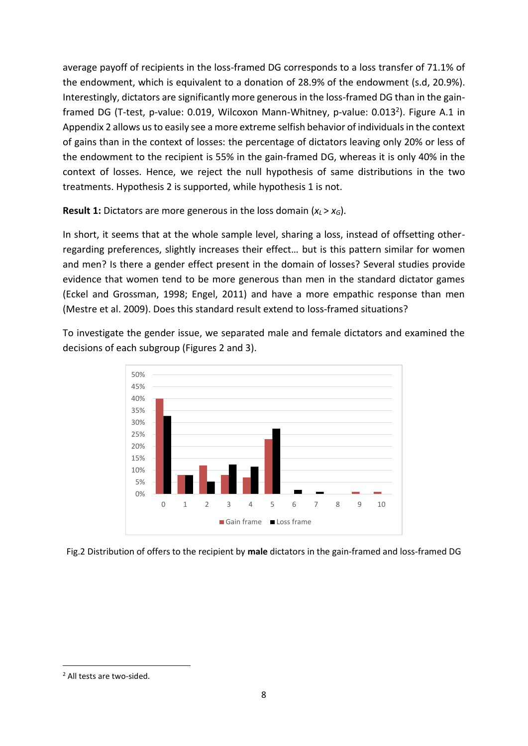average payoff of recipients in the loss-framed DG corresponds to a loss transfer of 71.1% of the endowment, which is equivalent to a donation of 28.9% of the endowment (s.d, 20.9%). Interestingly, dictators are significantly more generous in the loss-framed DG than in the gainframed DG (T-test, p-value: 0.019, Wilcoxon Mann-Whitney, p-value: 0.013<sup>2</sup>). Figure A.1 in Appendix 2 allows us to easily see a more extreme selfish behavior of individuals in the context of gains than in the context of losses: the percentage of dictators leaving only 20% or less of the endowment to the recipient is 55% in the gain-framed DG, whereas it is only 40% in the context of losses. Hence, we reject the null hypothesis of same distributions in the two treatments. Hypothesis 2 is supported, while hypothesis 1 is not.

**Result 1:** Dictators are more generous in the loss domain  $(x_l > x_G)$ .

In short, it seems that at the whole sample level, sharing a loss, instead of offsetting otherregarding preferences, slightly increases their effect… but is this pattern similar for women and men? Is there a gender effect present in the domain of losses? Several studies provide evidence that women tend to be more generous than men in the standard dictator games (Eckel and Grossman, 1998; Engel, 2011) and have a more empathic response than men (Mestre et al. 2009). Does this standard result extend to loss-framed situations?

To investigate the gender issue, we separated male and female dictators and examined the decisions of each subgroup (Figures 2 and 3).



Fig.2 Distribution of offers to the recipient by **male** dictators in the gain-framed and loss-framed DG

 $\ddot{\phantom{a}}$ 

<sup>2</sup> All tests are two-sided.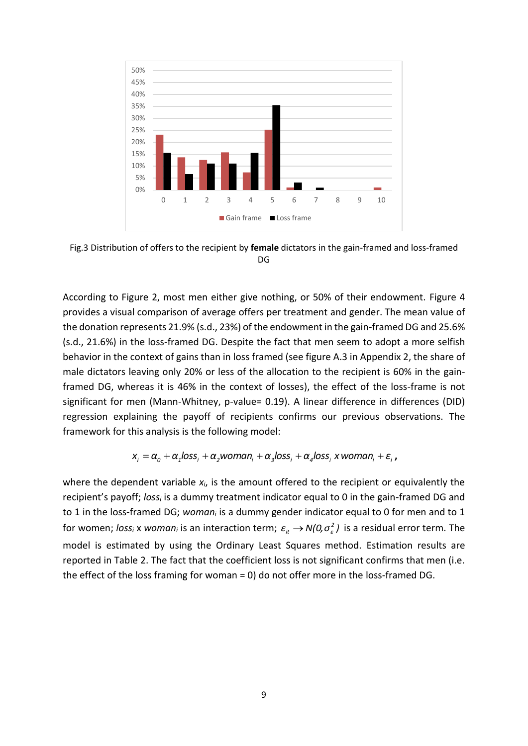

Fig.3 Distribution of offers to the recipient by **female** dictators in the gain-framed and loss-framed DG

According to Figure 2, most men either give nothing, or 50% of their endowment. Figure 4 provides a visual comparison of average offers per treatment and gender. The mean value of the donation represents 21.9% (s.d., 23%) of the endowment in the gain-framed DG and 25.6% (s.d., 21.6%) in the loss-framed DG. Despite the fact that men seem to adopt a more selfish behavior in the context of gains than in loss framed (see figure A.3 in Appendix 2, the share of male dictators leaving only 20% or less of the allocation to the recipient is 60% in the gainframed DG, whereas it is 46% in the context of losses), the effect of the loss-frame is not significant for men (Mann-Whitney, p-value= 0.19). A linear difference in differences (DID) regression explaining the payoff of recipients confirms our previous observations. The framework for this analysis is the following model:

$$
x_i = \alpha_0 + \alpha_1 loss_i + \alpha_2 woman_i + \alpha_3 loss_i + \alpha_4 loss_i x woman_i + \varepsilon_i,
$$

where the dependent variable *xi*, is the amount offered to the recipient or equivalently the recipient's payoff; *loss<sup>i</sup>* is a dummy treatment indicator equal to 0 in the gain-framed DG and to 1 in the loss-framed DG; *woman<sup>i</sup>* is a dummy gender indicator equal to 0 for men and to 1 for women; loss<sub>i</sub> x woman<sub>i</sub> is an interaction term;  $\varepsilon_{_{it}} \to N(0,\sigma_{_\varepsilon}^2)$  is a residual error term. The model is estimated by using the Ordinary Least Squares method. Estimation results are reported in Table 2. The fact that the coefficient loss is not significant confirms that men (i.e. the effect of the loss framing for woman = 0) do not offer more in the loss-framed DG.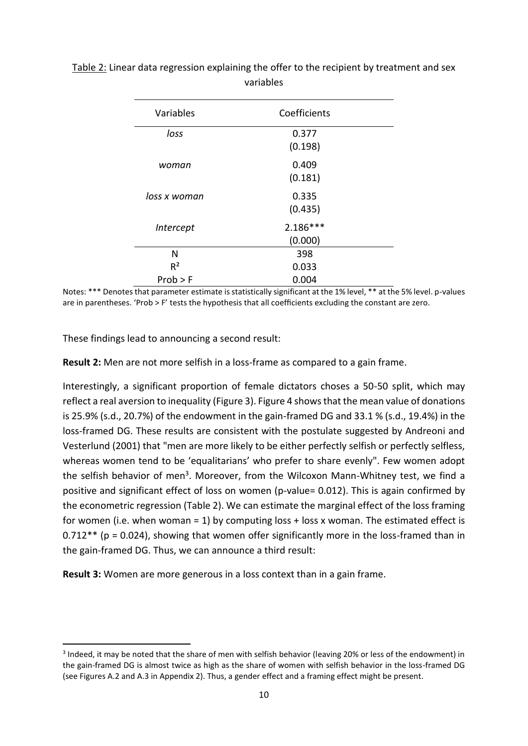| Variables    | Coefficients     |  |
|--------------|------------------|--|
| loss         | 0.377<br>(0.198) |  |
|              |                  |  |
| woman        | 0.409            |  |
|              | (0.181)          |  |
| loss x woman | 0.335            |  |
|              | (0.435)          |  |
| Intercept    | $2.186***$       |  |
|              | (0.000)          |  |
| N            | 398              |  |
| $R^2$        | 0.033            |  |
| Prob > F     | 0.004            |  |

# Table 2: Linear data regression explaining the offer to the recipient by treatment and sex variables

Notes: \*\*\* Denotes that parameter estimate is statistically significant at the 1% level, \*\* at the 5% level. p-values are in parentheses. 'Prob > F' tests the hypothesis that all coefficients excluding the constant are zero.

These findings lead to announcing a second result:

 $\overline{a}$ 

**Result 2:** Men are not more selfish in a loss-frame as compared to a gain frame.

Interestingly, a significant proportion of female dictators choses a 50-50 split, which may reflect a real aversion to inequality (Figure 3). Figure 4 shows that the mean value of donations is 25.9% (s.d., 20.7%) of the endowment in the gain-framed DG and 33.1 % (s.d., 19.4%) in the loss-framed DG. These results are consistent with the postulate suggested by Andreoni and Vesterlund (2001) that "men are more likely to be either perfectly selfish or perfectly selfless, whereas women tend to be 'equalitarians' who prefer to share evenly". Few women adopt the selfish behavior of men<sup>3</sup>. Moreover, from the Wilcoxon Mann-Whitney test, we find a positive and significant effect of loss on women (p-value= 0.012). This is again confirmed by the econometric regression (Table 2). We can estimate the marginal effect of the loss framing for women (i.e. when woman = 1) by computing loss  $+$  loss x woman. The estimated effect is 0.712\*\* (p = 0.024), showing that women offer significantly more in the loss-framed than in the gain-framed DG. Thus, we can announce a third result:

**Result 3:** Women are more generous in a loss context than in a gain frame.

<sup>&</sup>lt;sup>3</sup> Indeed, it may be noted that the share of men with selfish behavior (leaving 20% or less of the endowment) in the gain-framed DG is almost twice as high as the share of women with selfish behavior in the loss-framed DG (see Figures A.2 and A.3 in Appendix 2). Thus, a gender effect and a framing effect might be present.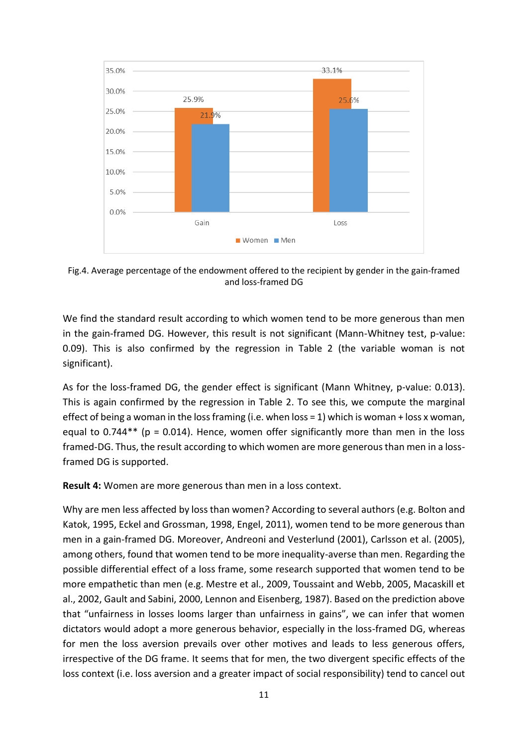

Fig.4. Average percentage of the endowment offered to the recipient by gender in the gain-framed and loss-framed DG

We find the standard result according to which women tend to be more generous than men in the gain-framed DG. However, this result is not significant (Mann-Whitney test, p-value: 0.09). This is also confirmed by the regression in Table 2 (the variable woman is not significant).

As for the loss-framed DG, the gender effect is significant (Mann Whitney, p-value: 0.013). This is again confirmed by the regression in Table 2. To see this, we compute the marginal effect of being a woman in the loss framing (i.e. when loss = 1) which is woman + loss x woman, equal to 0.744\*\* ( $p = 0.014$ ). Hence, women offer significantly more than men in the loss framed-DG. Thus, the result according to which women are more generous than men in a lossframed DG is supported.

**Result 4:** Women are more generous than men in a loss context.

Why are men less affected by loss than women? According to several authors (e.g. Bolton and Katok, 1995, Eckel and Grossman, 1998, Engel, 2011), women tend to be more generous than men in a gain-framed DG. Moreover, Andreoni and Vesterlund (2001), Carlsson et al. (2005), among others, found that women tend to be more inequality-averse than men. Regarding the possible differential effect of a loss frame, some research supported that women tend to be more empathetic than men (e.g. Mestre et al., 2009, Toussaint and Webb, 2005, Macaskill et al., 2002, Gault and Sabini, 2000, Lennon and Eisenberg, 1987). Based on the prediction above that "unfairness in losses looms larger than unfairness in gains", we can infer that women dictators would adopt a more generous behavior, especially in the loss-framed DG, whereas for men the loss aversion prevails over other motives and leads to less generous offers, irrespective of the DG frame. It seems that for men, the two divergent specific effects of the loss context (i.e. loss aversion and a greater impact of social responsibility) tend to cancel out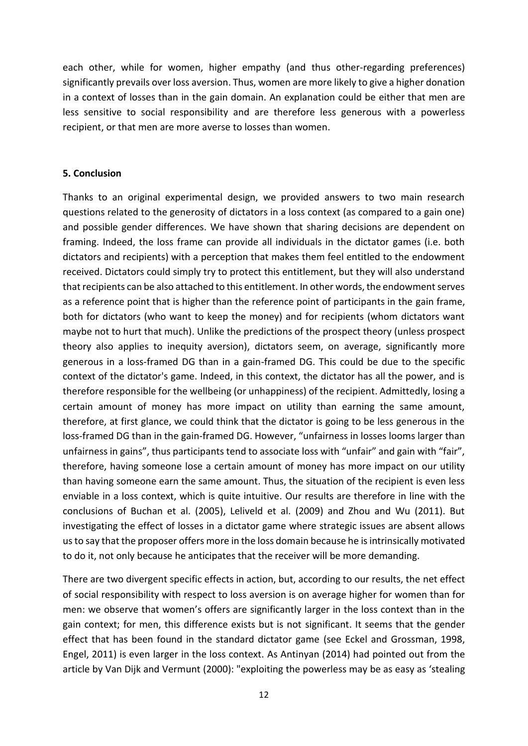each other, while for women, higher empathy (and thus other-regarding preferences) significantly prevails over loss aversion. Thus, women are more likely to give a higher donation in a context of losses than in the gain domain. An explanation could be either that men are less sensitive to social responsibility and are therefore less generous with a powerless recipient, or that men are more averse to losses than women.

#### **5. Conclusion**

Thanks to an original experimental design, we provided answers to two main research questions related to the generosity of dictators in a loss context (as compared to a gain one) and possible gender differences. We have shown that sharing decisions are dependent on framing. Indeed, the loss frame can provide all individuals in the dictator games (i.e. both dictators and recipients) with a perception that makes them feel entitled to the endowment received. Dictators could simply try to protect this entitlement, but they will also understand that recipients can be also attached to this entitlement. In other words, the endowment serves as a reference point that is higher than the reference point of participants in the gain frame, both for dictators (who want to keep the money) and for recipients (whom dictators want maybe not to hurt that much). Unlike the predictions of the prospect theory (unless prospect theory also applies to inequity aversion), dictators seem, on average, significantly more generous in a loss-framed DG than in a gain-framed DG. This could be due to the specific context of the dictator's game. Indeed, in this context, the dictator has all the power, and is therefore responsible for the wellbeing (or unhappiness) of the recipient. Admittedly, losing a certain amount of money has more impact on utility than earning the same amount, therefore, at first glance, we could think that the dictator is going to be less generous in the loss-framed DG than in the gain-framed DG. However, "unfairness in losses looms larger than unfairness in gains", thus participants tend to associate loss with "unfair" and gain with "fair", therefore, having someone lose a certain amount of money has more impact on our utility than having someone earn the same amount. Thus, the situation of the recipient is even less enviable in a loss context, which is quite intuitive. Our results are therefore in line with the conclusions of Buchan et al. (2005), Leliveld et al. (2009) and Zhou and Wu (2011). But investigating the effect of losses in a dictator game where strategic issues are absent allows us to say that the proposer offers more in the loss domain because he is intrinsically motivated to do it, not only because he anticipates that the receiver will be more demanding.

There are two divergent specific effects in action, but, according to our results, the net effect of social responsibility with respect to loss aversion is on average higher for women than for men: we observe that women's offers are significantly larger in the loss context than in the gain context; for men, this difference exists but is not significant. It seems that the gender effect that has been found in the standard dictator game (see Eckel and Grossman, 1998, Engel, 2011) is even larger in the loss context. As Antinyan (2014) had pointed out from the article by Van Dijk and Vermunt (2000): "exploiting the powerless may be as easy as 'stealing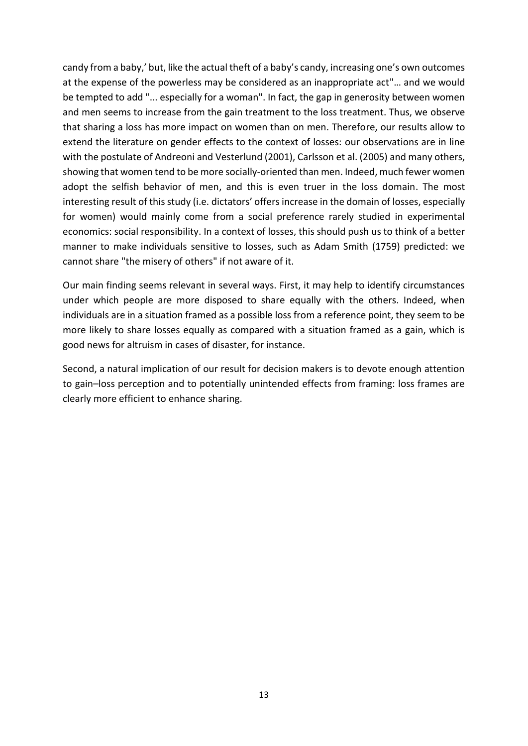candy from a baby,' but, like the actual theft of a baby's candy, increasing one's own outcomes at the expense of the powerless may be considered as an inappropriate act"… and we would be tempted to add "... especially for a woman". In fact, the gap in generosity between women and men seems to increase from the gain treatment to the loss treatment. Thus, we observe that sharing a loss has more impact on women than on men. Therefore, our results allow to extend the literature on gender effects to the context of losses: our observations are in line with the postulate of Andreoni and Vesterlund (2001), Carlsson et al. (2005) and many others, showing that women tend to be more socially-oriented than men. Indeed, much fewer women adopt the selfish behavior of men, and this is even truer in the loss domain. The most interesting result of this study (i.e. dictators' offers increase in the domain of losses, especially for women) would mainly come from a social preference rarely studied in experimental economics: social responsibility. In a context of losses, this should push us to think of a better manner to make individuals sensitive to losses, such as Adam Smith (1759) predicted: we cannot share "the misery of others" if not aware of it.

Our main finding seems relevant in several ways. First, it may help to identify circumstances under which people are more disposed to share equally with the others. Indeed, when individuals are in a situation framed as a possible loss from a reference point, they seem to be more likely to share losses equally as compared with a situation framed as a gain, which is good news for altruism in cases of disaster, for instance.

Second, a natural implication of our result for decision makers is to devote enough attention to gain–loss perception and to potentially unintended effects from framing: loss frames are clearly more efficient to enhance sharing.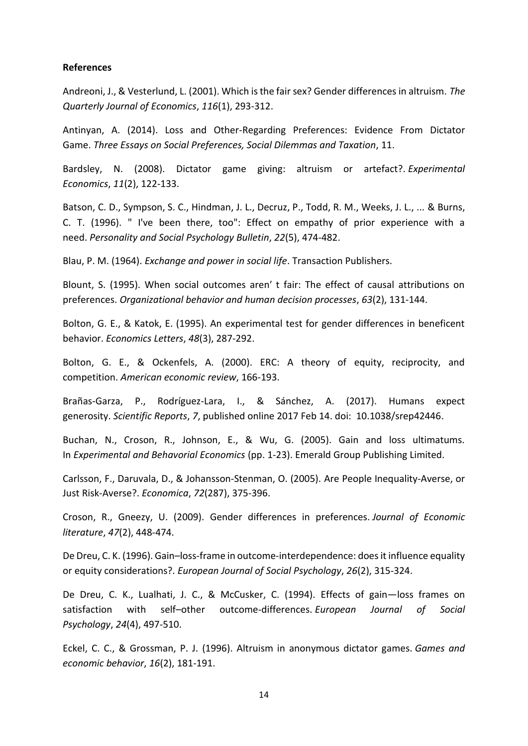#### **References**

Andreoni, J., & Vesterlund, L. (2001). Which is the fair sex? Gender differences in altruism. *The Quarterly Journal of Economics*, *116*(1), 293-312.

Antinyan, A. (2014). Loss and Other-Regarding Preferences: Evidence From Dictator Game. *Three Essays on Social Preferences, Social Dilemmas and Taxation*, 11.

Bardsley, N. (2008). Dictator game giving: altruism or artefact?. *Experimental Economics*, *11*(2), 122-133.

Batson, C. D., Sympson, S. C., Hindman, J. L., Decruz, P., Todd, R. M., Weeks, J. L., ... & Burns, C. T. (1996). " I've been there, too": Effect on empathy of prior experience with a need. *Personality and Social Psychology Bulletin*, *22*(5), 474-482.

Blau, P. M. (1964). *Exchange and power in social life*. Transaction Publishers.

Blount, S. (1995). When social outcomes aren′ t fair: The effect of causal attributions on preferences. *Organizational behavior and human decision processes*, *63*(2), 131-144.

Bolton, G. E., & Katok, E. (1995). An experimental test for gender differences in beneficent behavior. *Economics Letters*, *48*(3), 287-292.

Bolton, G. E., & Ockenfels, A. (2000). ERC: A theory of equity, reciprocity, and competition. *American economic review*, 166-193.

Brañas-Garza, P., Rodríguez-Lara, I., & Sánchez, A. (2017). Humans expect generosity. *Scientific Reports*, *7*, published online 2017 Feb 14. doi: 10.1038/srep42446.

Buchan, N., Croson, R., Johnson, E., & Wu, G. (2005). Gain and loss ultimatums. In *Experimental and Behavorial Economics* (pp. 1-23). Emerald Group Publishing Limited.

Carlsson, F., Daruvala, D., & Johansson‐Stenman, O. (2005). Are People Inequality‐Averse, or Just Risk‐Averse?. *Economica*, *72*(287), 375-396.

Croson, R., Gneezy, U. (2009). Gender differences in preferences. *Journal of Economic literature*, *47*(2), 448-474.

De Dreu, C. K. (1996). Gain–loss‐frame in outcome‐interdependence: does it influence equality or equity considerations?. *European Journal of Social Psychology*, *26*(2), 315-324.

De Dreu, C. K., Lualhati, J. C., & McCusker, C. (1994). Effects of gain—loss frames on satisfaction with self–other outcome‐differences. *European Journal of Social Psychology*, *24*(4), 497-510.

Eckel, C. C., & Grossman, P. J. (1996). Altruism in anonymous dictator games. *Games and economic behavior*, *16*(2), 181-191.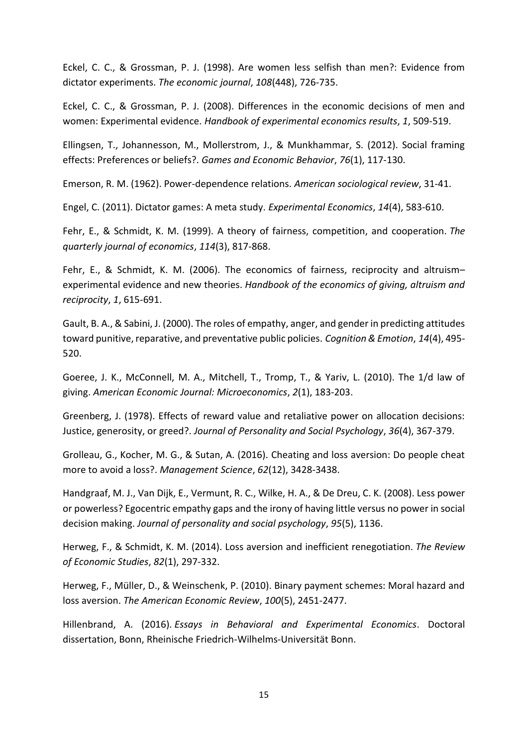Eckel, C. C., & Grossman, P. J. (1998). Are women less selfish than men?: Evidence from dictator experiments. *The economic journal*, *108*(448), 726-735.

Eckel, C. C., & Grossman, P. J. (2008). Differences in the economic decisions of men and women: Experimental evidence. *Handbook of experimental economics results*, *1*, 509-519.

Ellingsen, T., Johannesson, M., Mollerstrom, J., & Munkhammar, S. (2012). Social framing effects: Preferences or beliefs?. *Games and Economic Behavior*, *76*(1), 117-130.

Emerson, R. M. (1962). Power-dependence relations. *American sociological review*, 31-41.

Engel, C. (2011). Dictator games: A meta study. *Experimental Economics*, *14*(4), 583-610.

Fehr, E., & Schmidt, K. M. (1999). A theory of fairness, competition, and cooperation. *The quarterly journal of economics*, *114*(3), 817-868.

Fehr, E., & Schmidt, K. M. (2006). The economics of fairness, reciprocity and altruism– experimental evidence and new theories. *Handbook of the economics of giving, altruism and reciprocity*, *1*, 615-691.

Gault, B. A., & Sabini, J. (2000). The roles of empathy, anger, and gender in predicting attitudes toward punitive, reparative, and preventative public policies. *Cognition & Emotion*, *14*(4), 495- 520.

Goeree, J. K., McConnell, M. A., Mitchell, T., Tromp, T., & Yariv, L. (2010). The 1/d law of giving. *American Economic Journal: Microeconomics*, *2*(1), 183-203.

Greenberg, J. (1978). Effects of reward value and retaliative power on allocation decisions: Justice, generosity, or greed?. *Journal of Personality and Social Psychology*, *36*(4), 367-379.

Grolleau, G., Kocher, M. G., & Sutan, A. (2016). Cheating and loss aversion: Do people cheat more to avoid a loss?. *Management Science*, *62*(12), 3428-3438.

Handgraaf, M. J., Van Dijk, E., Vermunt, R. C., Wilke, H. A., & De Dreu, C. K. (2008). Less power or powerless? Egocentric empathy gaps and the irony of having little versus no power in social decision making. *Journal of personality and social psychology*, *95*(5), 1136.

Herweg, F., & Schmidt, K. M. (2014). Loss aversion and inefficient renegotiation. *The Review of Economic Studies*, *82*(1), 297-332.

Herweg, F., Müller, D., & Weinschenk, P. (2010). Binary payment schemes: Moral hazard and loss aversion. *The American Economic Review*, *100*(5), 2451-2477.

Hillenbrand, A. (2016). *Essays in Behavioral and Experimental Economics*. Doctoral dissertation, Bonn, Rheinische Friedrich-Wilhelms-Universität Bonn.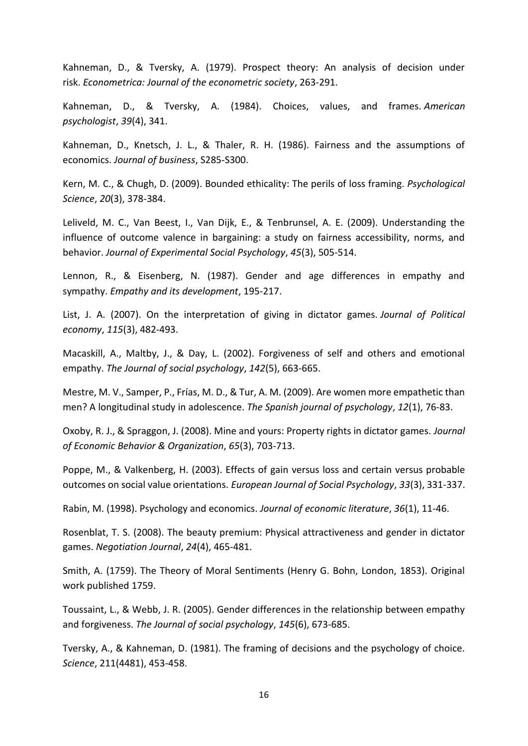Kahneman, D., & Tversky, A. (1979). Prospect theory: An analysis of decision under risk. *Econometrica: Journal of the econometric society*, 263-291.

Kahneman, D., & Tversky, A. (1984). Choices, values, and frames. *American psychologist*, *39*(4), 341.

Kahneman, D., Knetsch, J. L., & Thaler, R. H. (1986). Fairness and the assumptions of economics. *Journal of business*, S285-S300.

Kern, M. C., & Chugh, D. (2009). Bounded ethicality: The perils of loss framing. *Psychological Science*, *20*(3), 378-384.

Leliveld, M. C., Van Beest, I., Van Dijk, E., & Tenbrunsel, A. E. (2009). Understanding the influence of outcome valence in bargaining: a study on fairness accessibility, norms, and behavior. *Journal of Experimental Social Psychology*, *45*(3), 505-514.

Lennon, R., & Eisenberg, N. (1987). Gender and age differences in empathy and sympathy. *Empathy and its development*, 195-217.

List, J. A. (2007). On the interpretation of giving in dictator games. *Journal of Political economy*, *115*(3), 482-493.

Macaskill, A., Maltby, J., & Day, L. (2002). Forgiveness of self and others and emotional empathy. *The Journal of social psychology*, *142*(5), 663-665.

Mestre, M. V., Samper, P., Frías, M. D., & Tur, A. M. (2009). Are women more empathetic than men? A longitudinal study in adolescence. *The Spanish journal of psychology*, *12*(1), 76-83.

Oxoby, R. J., & Spraggon, J. (2008). Mine and yours: Property rights in dictator games. *Journal of Economic Behavior & Organization*, *65*(3), 703-713.

Poppe, M., & Valkenberg, H. (2003). Effects of gain versus loss and certain versus probable outcomes on social value orientations. *European Journal of Social Psychology*, *33*(3), 331-337.

Rabin, M. (1998). Psychology and economics. *Journal of economic literature*, *36*(1), 11-46.

Rosenblat, T. S. (2008). The beauty premium: Physical attractiveness and gender in dictator games. *Negotiation Journal*, *24*(4), 465-481.

Smith, A. (1759). The Theory of Moral Sentiments (Henry G. Bohn, London, 1853). Original work published 1759.

Toussaint, L., & Webb, J. R. (2005). Gender differences in the relationship between empathy and forgiveness. *The Journal of social psychology*, *145*(6), 673-685.

Tversky, A., & Kahneman, D. (1981). The framing of decisions and the psychology of choice. *Science*, 211(4481), 453-458.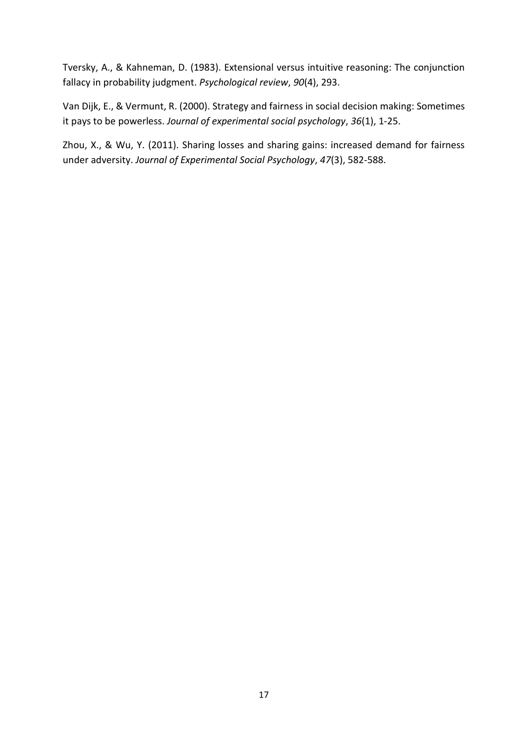Tversky, A., & Kahneman, D. (1983). Extensional versus intuitive reasoning: The conjunction fallacy in probability judgment. *Psychological review*, *90*(4), 293.

Van Dijk, E., & Vermunt, R. (2000). Strategy and fairness in social decision making: Sometimes it pays to be powerless. *Journal of experimental social psychology*, *36*(1), 1-25.

Zhou, X., & Wu, Y. (2011). Sharing losses and sharing gains: increased demand for fairness under adversity. *Journal of Experimental Social Psychology*, *47*(3), 582-588.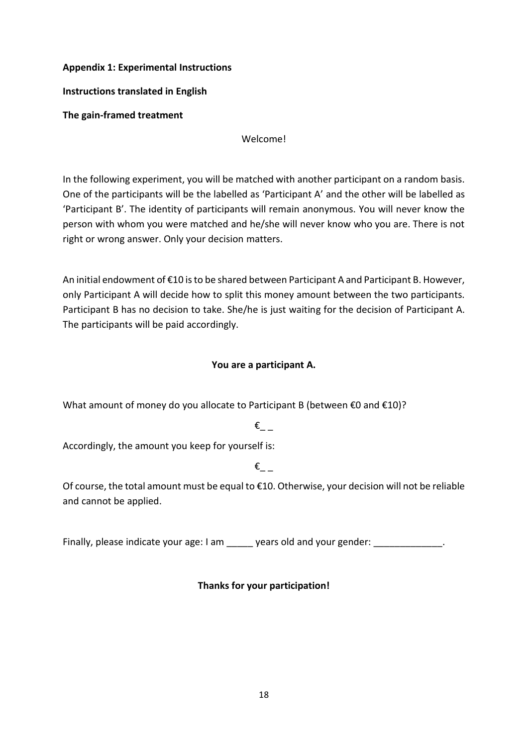#### **Appendix 1: Experimental Instructions**

**Instructions translated in English**

**The gain-framed treatment**

Welcome!

In the following experiment, you will be matched with another participant on a random basis. One of the participants will be the labelled as 'Participant A' and the other will be labelled as 'Participant B'. The identity of participants will remain anonymous. You will never know the person with whom you were matched and he/she will never know who you are. There is not right or wrong answer. Only your decision matters.

An initial endowment of €10 is to be shared between Participant A and Participant B. However, only Participant A will decide how to split this money amount between the two participants. Participant B has no decision to take. She/he is just waiting for the decision of Participant A. The participants will be paid accordingly.

## **You are a participant A.**

What amount of money do you allocate to Participant B (between €0 and €10)?

# $\epsilon$ <sub>\_\_</sub>

Accordingly, the amount you keep for yourself is:

# $\varepsilon$

Of course, the total amount must be equal to €10. Otherwise, your decision will not be reliable and cannot be applied.

Finally, please indicate your age: I am \_\_\_\_\_ years old and your gender: \_\_\_\_\_\_\_\_\_\_\_\_\_.

# **Thanks for your participation!**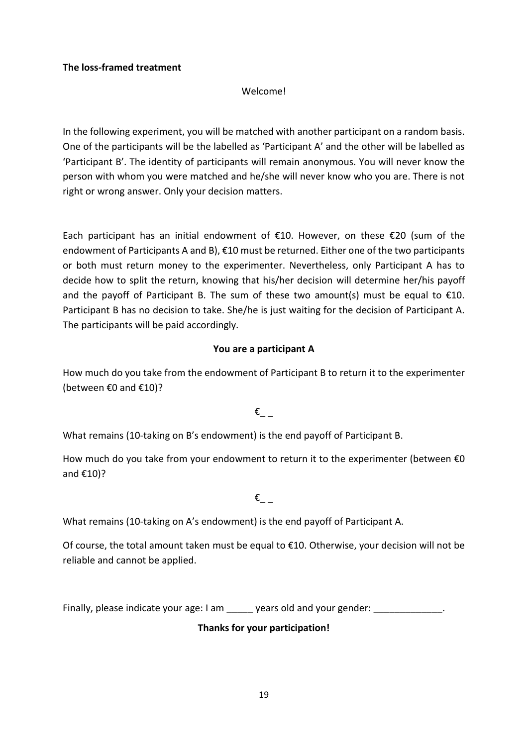#### **The loss-framed treatment**

#### Welcome!

In the following experiment, you will be matched with another participant on a random basis. One of the participants will be the labelled as 'Participant A' and the other will be labelled as 'Participant B'. The identity of participants will remain anonymous. You will never know the person with whom you were matched and he/she will never know who you are. There is not right or wrong answer. Only your decision matters.

Each participant has an initial endowment of  $E10$ . However, on these  $E20$  (sum of the endowment of Participants A and B), €10 must be returned. Either one of the two participants or both must return money to the experimenter. Nevertheless, only Participant A has to decide how to split the return, knowing that his/her decision will determine her/his payoff and the payoff of Participant B. The sum of these two amount(s) must be equal to  $\epsilon$ 10. Participant B has no decision to take. She/he is just waiting for the decision of Participant A. The participants will be paid accordingly.

#### **You are a participant A**

How much do you take from the endowment of Participant B to return it to the experimenter (between €0 and €10)?

### $\varepsilon$

What remains (10-taking on B's endowment) is the end payoff of Participant B.

How much do you take from your endowment to return it to the experimenter (between  $\epsilon$ 0 and €10)?

 $\epsilon$ 

What remains (10-taking on A's endowment) is the end payoff of Participant A.

Of course, the total amount taken must be equal to €10. Otherwise, your decision will not be reliable and cannot be applied.

Finally, please indicate your age: I am extending years old and your gender:  $\blacksquare$ 

### **Thanks for your participation!**